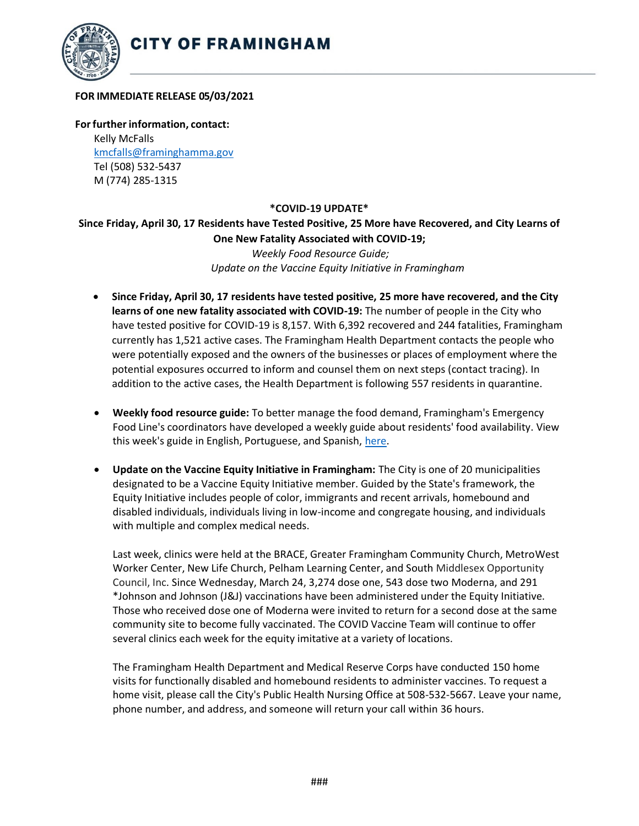

## **FOR IMMEDIATE RELEASE 05/03/2021**

**Forfurtherinformation, contact:** Kelly McFalls [kmcfalls@framinghamma.gov](mailto:kmcfalls@framinghamma.gov) Tel (508) 532-5437 M (774) 285-1315

## **\*COVID-19 UPDATE\***

**Since Friday, April 30, 17 Residents have Tested Positive, 25 More have Recovered, and City Learns of One New Fatality Associated with COVID-19;**  *Weekly Food Resource Guide; Update on the Vaccine Equity Initiative in Framingham*

- **Since Friday, April 30, 17 residents have tested positive, 25 more have recovered, and the City learns of one new fatality associated with COVID-19:** The number of people in the City who have tested positive for COVID-19 is 8,157. With 6,392 recovered and 244 fatalities, Framingham currently has 1,521 active cases. The Framingham Health Department contacts the people who were potentially exposed and the owners of the businesses or places of employment where the potential exposures occurred to inform and counsel them on next steps (contact tracing). In addition to the active cases, the Health Department is following 557 residents in quarantine.
- **Weekly food resource guide:** To better manage the food demand, Framingham's Emergency Food Line's coordinators have developed a weekly guide about residents' food availability. View this week's guide in English, Portuguese, and Spanish, [here.](https://www.framinghamma.gov/3023/Access-Food)
- **Update on the Vaccine Equity Initiative in Framingham:** The City is one of 20 municipalities designated to be a Vaccine Equity Initiative member. Guided by the State's framework, the Equity Initiative includes people of color, immigrants and recent arrivals, homebound and disabled individuals, individuals living in low-income and congregate housing, and individuals with multiple and complex medical needs.

Last week, clinics were held at the BRACE, Greater Framingham Community Church, MetroWest Worker Center, New Life Church, Pelham Learning Center, and South Middlesex Opportunity Council, Inc. Since Wednesday, March 24, 3,274 dose one, 543 dose two Moderna, and 291 \*Johnson and Johnson (J&J) vaccinations have been administered under the Equity Initiative. Those who received dose one of Moderna were invited to return for a second dose at the same community site to become fully vaccinated. The COVID Vaccine Team will continue to offer several clinics each week for the equity imitative at a variety of locations.

The Framingham Health Department and Medical Reserve Corps have conducted 150 home visits for functionally disabled and homebound residents to administer vaccines. To request a home visit, please call the City's Public Health Nursing Office at 508-532-5667. Leave your name, phone number, and address, and someone will return your call within 36 hours.